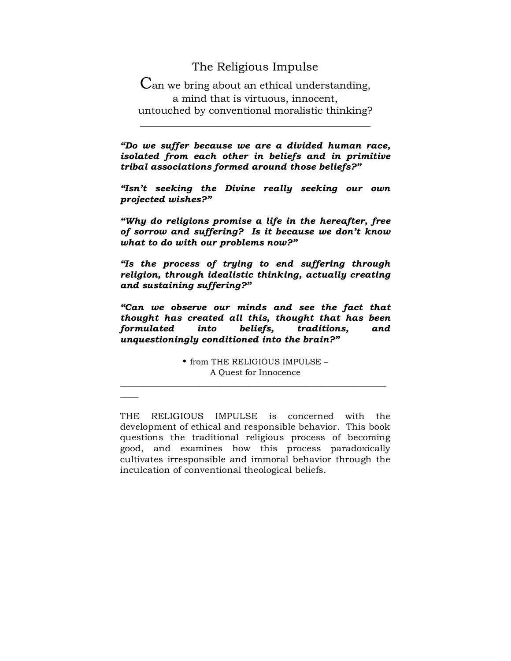## The Religious Impulse

Can we bring about an ethical understanding, a mind that is virtuous, innocent, untouched by conventional moralistic thinking?

\_\_\_\_\_\_\_\_\_\_\_\_\_\_\_\_\_\_\_\_\_\_\_\_\_\_\_\_\_\_\_\_\_\_\_\_\_\_\_\_\_\_\_\_\_\_

*"Do we suffer because we are a divided human race, isolated from each other in beliefs and in primitive tribal associations formed around those beliefs?"*

*"Isn't seeking the Divine really seeking our own projected wishes?"*

*"Why do religions promise a life in the hereafter, free of sorrow and suffering? Is it because we don't know what to do with our problems now?"*

*"Is the process of trying to end suffering through religion, through idealistic thinking, actually creating and sustaining suffering?"*

*"Can we observe our minds and see the fact that thought has created all this, thought that has been formulated into beliefs, traditions, and unquestioningly conditioned into the brain?"*

> • from THE RELIGIOUS IMPULSE – A Quest for Innocence

\_\_\_\_\_\_\_\_\_\_\_\_\_\_\_\_\_\_\_\_\_\_\_\_\_\_\_\_\_\_\_\_\_\_\_\_\_\_\_\_\_\_\_\_\_\_\_\_\_\_\_\_\_\_\_\_\_\_

 $\overline{\phantom{a}}$ 

THE RELIGIOUS IMPULSE is concerned with the development of ethical and responsible behavior. This book questions the traditional religious process of becoming good, and examines how this process paradoxically cultivates irresponsible and immoral behavior through the inculcation of conventional theological beliefs.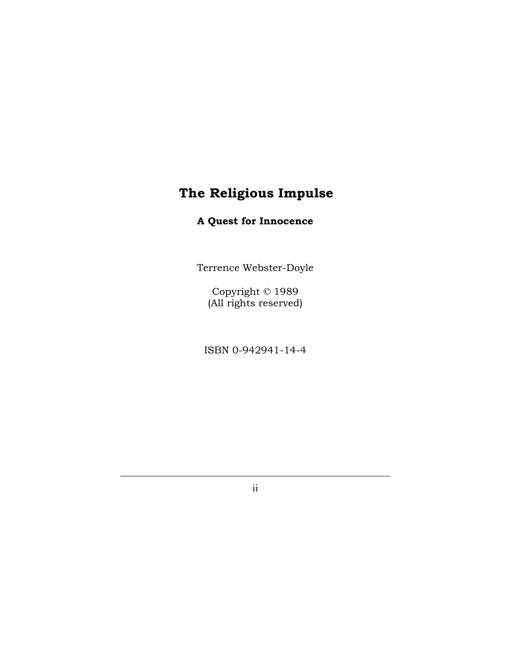# **The Religious Impulse**

# **A Quest for Innocence**

Terrence Webster-Doyle

Copyright © 1989 (All rights reserved)

ISBN 0-942941-14-4

ii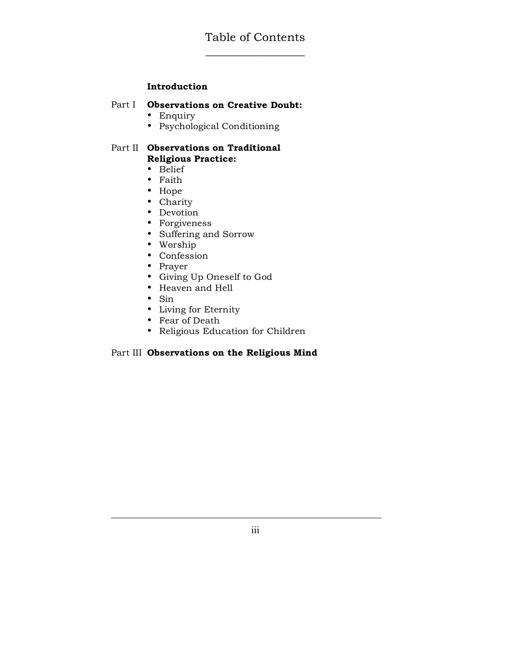#### **Introduction**

#### Part I **Observations on Creative Doubt:**

- Enquiry
- Psychological Conditioning

#### Part II **Observations on Traditional Religious Practice:**

- Belief
- Faith
- Hope
- Charity
- Devotion
- Forgiveness
- Suffering and Sorrow
- Worship
- Confession
- Prayer
- Giving Up Oneself to God
- Heaven and Hell
- Sin
- Living for Eternity
- Fear of Death
- Religious Education for Children

#### Part III **Observations on the Religious Mind**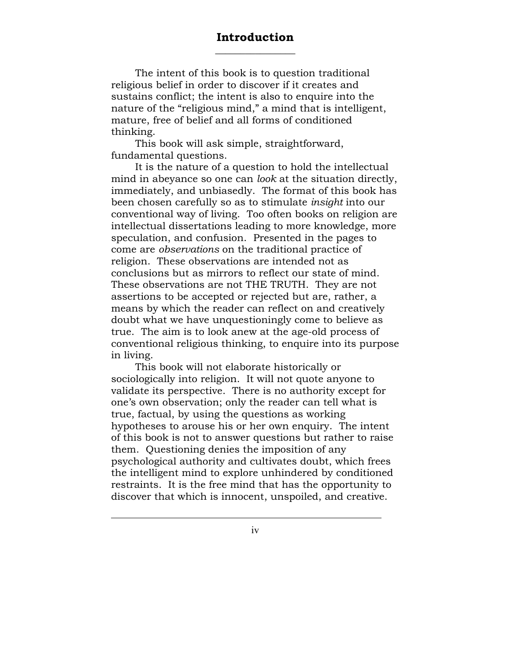### **Introduction**  $\overline{\phantom{a}}$  , where  $\overline{\phantom{a}}$

The intent of this book is to question traditional religious belief in order to discover if it creates and sustains conflict; the intent is also to enquire into the nature of the "religious mind," a mind that is intelligent, mature, free of belief and all forms of conditioned thinking.

This book will ask simple, straightforward, fundamental questions.

It is the nature of a question to hold the intellectual mind in abeyance so one can *look* at the situation directly, immediately, and unbiasedly. The format of this book has been chosen carefully so as to stimulate *insight* into our conventional way of living. Too often books on religion are intellectual dissertations leading to more knowledge, more speculation, and confusion. Presented in the pages to come are *observations* on the traditional practice of religion. These observations are intended not as conclusions but as mirrors to reflect our state of mind. These observations are not THE TRUTH. They are not assertions to be accepted or rejected but are, rather, a means by which the reader can reflect on and creatively doubt what we have unquestioningly come to believe as true. The aim is to look anew at the age-old process of conventional religious thinking, to enquire into its purpose in living.

This book will not elaborate historically or sociologically into religion. It will not quote anyone to validate its perspective. There is no authority except for one's own observation; only the reader can tell what is true, factual, by using the questions as working hypotheses to arouse his or her own enquiry. The intent of this book is not to answer questions but rather to raise them. Questioning denies the imposition of any psychological authority and cultivates doubt, which frees the intelligent mind to explore unhindered by conditioned restraints. It is the free mind that has the opportunity to discover that which is innocent, unspoiled, and creative.

iv